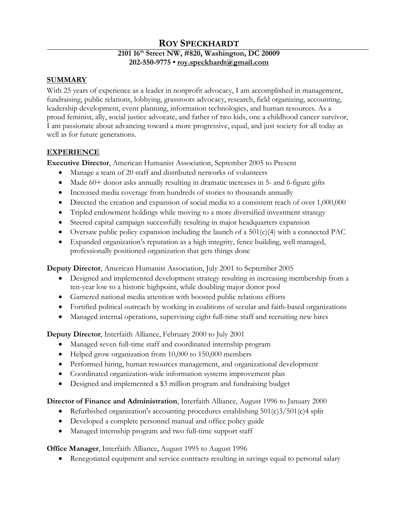# **ROY SPECKHARDT**

### **2101 16th Street NW, #820, Washington, DC 20009 202-550-9775 • [roy.speckhardt@gmail.com](mailto:roy.speckhardt@gmail.com)**

### **SUMMARY**

With 25 years of experience as a leader in nonprofit advocacy, I am accomplished in management, fundraising, public relations, lobbying, grassroots advocacy, research, field organizing, accounting, leadership development, event planning, information technologies, and human resources. As a proud feminist, ally, social justice advocate, and father of two kids, one a childhood cancer survivor, I am passionate about advancing toward a more progressive, equal, and just society for all today as well as for future generations.

### **EXPERIENCE**

**Executive Director**, American Humanist Association, September 2005 to Present

- Manage a team of 20 staff and distributed networks of volunteers
- Made 60+ donor asks annually resulting in dramatic increases in 5- and 6-figure gifts
- Increased media coverage from hundreds of stories to thousands annually
- Directed the creation and expansion of social media to a consistent reach of over 1,000,000
- Tripled endowment holdings while moving to a more diversified investment strategy
- Steered capital campaign successfully resulting in major headquarters expansion
- Oversaw public policy expansion including the launch of a  $501(c)(4)$  with a connected PAC
- Expanded organization's reputation as a high integrity, fence building, well managed, professionally positioned organization that gets things done

**Deputy Director**, American Humanist Association, July 2001 to September 2005

- Designed and implemented development strategy resulting in increasing membership from a ten-year low to a historic highpoint, while doubling major donor pool
- Garnered national media attention with boosted public relations efforts
- Fortified political outreach by working in coalitions of secular and faith-based organizations
- Managed internal operations, supervising eight full-time staff and recruiting new hires

**Deputy Director**, Interfaith Alliance, February 2000 to July 2001

- Managed seven full-time staff and coordinated internship program
- Helped grow organization from 10,000 to 150,000 members
- Performed hiring, human resources management, and organizational development
- Coordinated organization-wide information systems improvement plan
- Designed and implemented a \$3 million program and fundraising budget

### **Director of Finance and Administration**, Interfaith Alliance, August 1996 to January 2000

- Refurbished organization's accounting procedures establishing  $501(c)3/501(c)4$  split
- Developed a complete personnel manual and office policy guide
- Managed internship program and two full-time support staff

**Office Manager**, Interfaith Alliance, August 1995 to August 1996

• Renegotiated equipment and service contracts resulting in savings equal to personal salary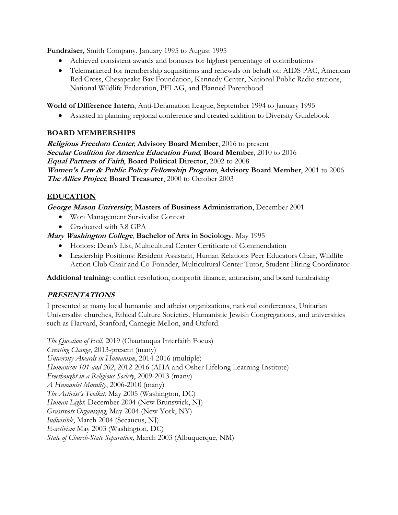**Fundraiser,** Smith Company, January 1995 to August 1995

- Achieved consistent awards and bonuses for highest percentage of contributions
- Telemarketed for membership acquisitions and renewals on behalf of: AIDS PAC, American Red Cross, Chesapeake Bay Foundation, Kennedy Center, National Public Radio stations, National Wildlife Federation, PFLAG, and Planned Parenthood

**World of Difference Intern**, Anti-Defamation League, September 1994 to January 1995

• Assisted in planning regional conference and created addition to Diversity Guidebook

# **BOARD MEMBERSHIPS**

**Religious Freedom Center***,* **Advisory Board Member**, 2016 to present **Secular Coalition for America Education Fund***,* **Board Member**, 2010 to 2016 **Equal Partners of Faith**, **Board Political Director**, 2002 to 2008 **Women's Law & Public Policy Fellowship Program**, **Advisory Board Member**, 2001 to 2006 **The Allies Project**, **Board Treasurer**, 2000 to October 2003

# **EDUCATION**

### **George Mason University**, **Masters of Business Administration**, December 2001

- Won Management Survivalist Contest
- Graduated with 3.8 GPA

### **Mary Washington College**, **Bachelor of Arts in Sociology**, May 1995

- Honors: Dean's List, Multicultural Center Certificate of Commendation
- Leadership Positions: Resident Assistant, Human Relations Peer Educators Chair, Wildlife Action Club Chair and Co-Founder, Multicultural Center Tutor, Student Hiring Coordinator

**Additional training**: conflict resolution, nonprofit finance, antiracism, and board fundraising

# **PRESENTATIONS**

I presented at many local humanist and atheist organizations, national conferences, Unitarian Universalist churches, Ethical Culture Societies, Humanistic Jewish Congregations, and universities such as Harvard, Stanford, Carnegie Mellon, and Oxford.

*The Question of Evil*, 2019 (Chautauqua Interfaith Focus) *Creating Change*, 2013-present (many) *University Awards in Humanism*, 2014-2016 (multiple) *Humanism 101 and 202*, 2012-2016 (AHA and Osher Lifelong Learning Institute) *Freethought in a Religious Society*, 2009-2013 (many) *A Humanist Morality*, 2006-2010 (many) *The Activist's Toolkit*, May 2005 (Washington, DC) *Human-Light,* December 2004 (New Brunswick, NJ) *Grassroots Organizing*, May 2004 (New York, NY) *Indivisible*, March 2004 (Secaucus, NJ) *E-activism* May 2003 (Washington, DC) *State of Church-State Separation,* March 2003 (Albuquerque, NM)